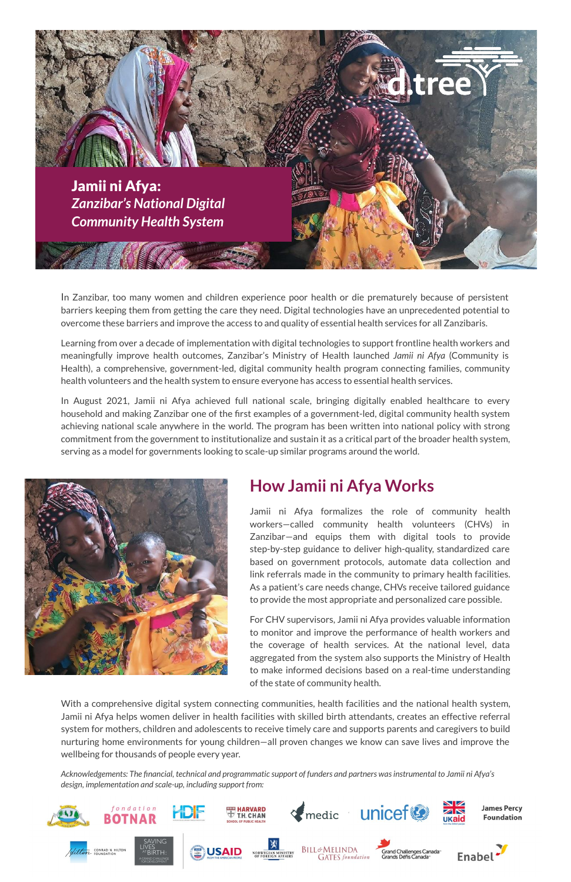

In Zanzibar, too many women and children experience poor health or die prematurely because of persistent barriers keeping them from getting the care they need. Digital technologies have an unprecedented potential to overcome these barriers and improve the access to and quality of essential health services for all Zanzibaris.

Learning from over a decade of implementation with digital technologies to support frontline health workers and meaningfully improve health outcomes, Zanzibar's Ministry of Health launched *Jamii ni Afya* (Community is Health), a comprehensive, government-led, digital community health program connecting families, community health volunteers and the health system to ensure everyone has access to essential health services.

In August 2021, Jamii ni Afya achieved full national scale, bringing digitally enabled healthcare to every household and making Zanzibar one of the first examples of a government-led, digital community health system achieving national scale anywhere in the world. The program has been written into national policy with strong commitment from the government to institutionalize and sustain it as a critical part of the broader health system, serving as a model for governments looking to scale-up similar programs around the world.



### **How Jamii ni Afya Works**

Jamii ni Afya formalizes the role of community health workers—called community health volunteers (CHVs) in Zanzibar—and equips them with digital tools to provide step-by-step guidance to deliver high-quality, standardized care based on government protocols, automate data collection and link referrals made in the community to primary health facilities. As a patient's care needs change, CHVs receive tailored guidance to provide the most appropriate and personalized care possible.

For CHV supervisors, Jamii ni Afya provides valuable information to monitor and improve the performance of health workers and the coverage of health services. At the national level, data aggregated from the system also supports the Ministry of Health to make informed decisions based on a real-time understanding of the state of community health.

With a comprehensive digital system connecting communities, health facilities and the national health system, Jamii ni Afya helps women deliver in health facilities with skilled birth attendants, creates an effective referral system for mothers, children and adolescents to receive timely care and supports parents and caregivers to build nurturing home environments for young children—all proven changes we know can save lives and improve the wellbeing for thousands of people every year.

*Acknowledgements: The financial, technical and programmatic support of funders and partners was instrumental to Jamii ni Afya's design, implementation and scale-up, including support from:*

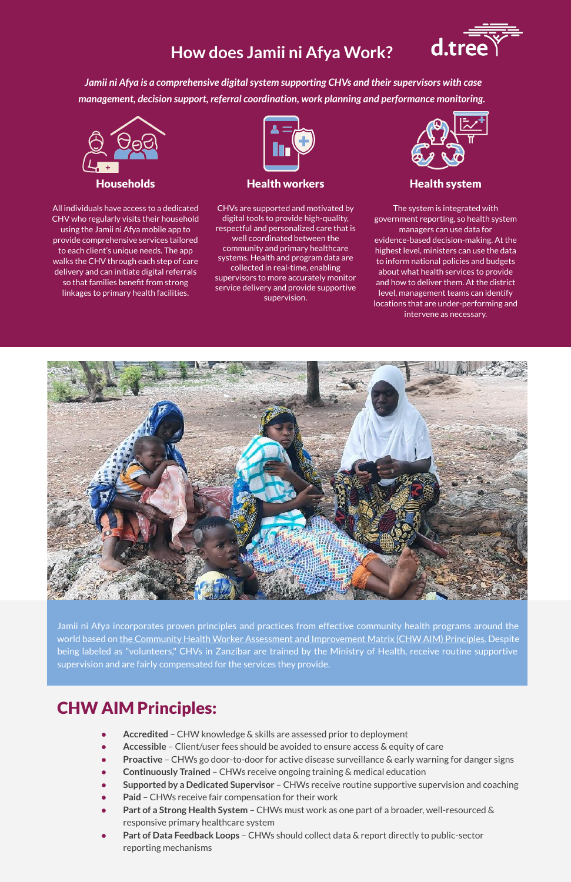# **How does Jamii ni Afya Work?**



*Jamii ni Afya is a comprehensive digital system supporting CHVs and their supervisors with case management, decision support, referral coordination, work planning and performance monitoring.*



All individuals have access to a dedicated CHV who regularly visits their household using the Jamii ni Afya mobile app to provide comprehensive services tailored to each client's unique needs. The app walks the CHV through each step of care delivery and can initiate digital referrals so that families benefit from strong linkages to primary health facilities.



Households Health workers Health system

CHVs are supported and motivated by digital tools to provide high-quality, respectful and personalized care that is well coordinated between the community and primary healthcare systems. Health and program data are collected in real-time, enabling supervisors to more accurately monitor service delivery and provide supportive supervision.



The system is integrated with government reporting, so health system managers can use data for evidence-based decision-making. At the highest level, ministers can use the data to inform national policies and budgets about what health services to provide and how to deliver them. At the district level, management teams can identify locations that are under-performing and intervene as necessary.



Jamii ni Afya incorporates proven principles and practices from effective community health programs around the world based on [the Community Health Worker Assessment and Improvement Matrix \(CHW AIM\) Principles.](https://chwcentral.org/resources/community-health-worker-assessment-and-improvement-matrix-chw-aim-updated-program-functionality-matrix-for-optimizing-community-health-programs/) Despite being labeled as "volunteers," CHVs in Zanzibar are trained by the Ministry of Health, receive routine supportive supervision and are fairly compensated for the services they provide.

## CHW AIM Principles:

- Accredited CHW knowledge & skills are assessed prior to deployment
- Accessible Client/user fees should be avoided to ensure access & equity of care
- **Proactive** CHWs go door-to-door for active disease surveillance & early warning for danger signs
- **Continuously Trained** CHWs receive ongoing training & medical education
- **Supported by a Dedicated Supervisor**  CHWs receive routine supportive supervision and coaching
- Paid CHWs receive fair compensation for their work
- Part of a Strong Health System CHWs must work as one part of a broader, well-resourced & responsive primary healthcare system
- Part of Data Feedback Loops CHWs should collect data & report directly to public-sector reporting mechanisms